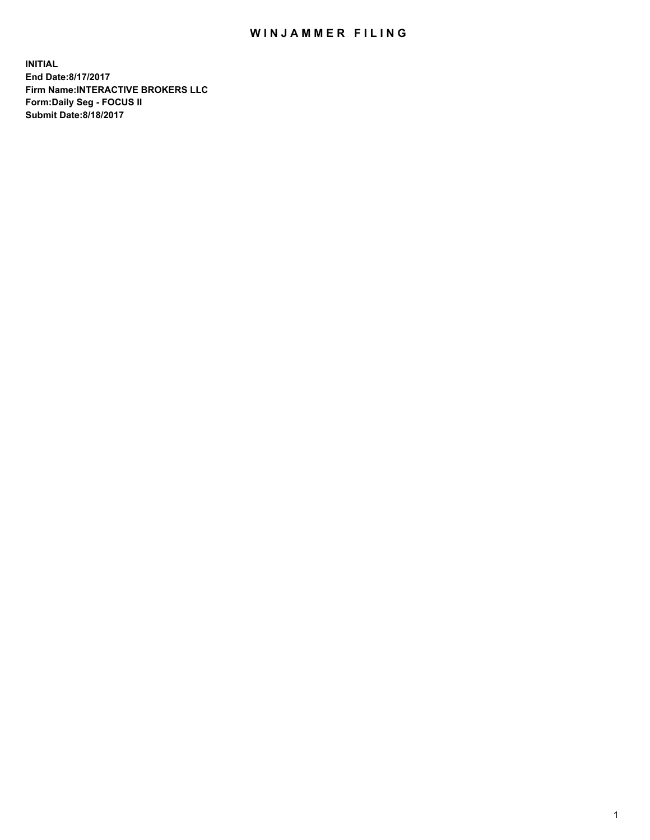## WIN JAMMER FILING

**INITIAL End Date:8/17/2017 Firm Name:INTERACTIVE BROKERS LLC Form:Daily Seg - FOCUS II Submit Date:8/18/2017**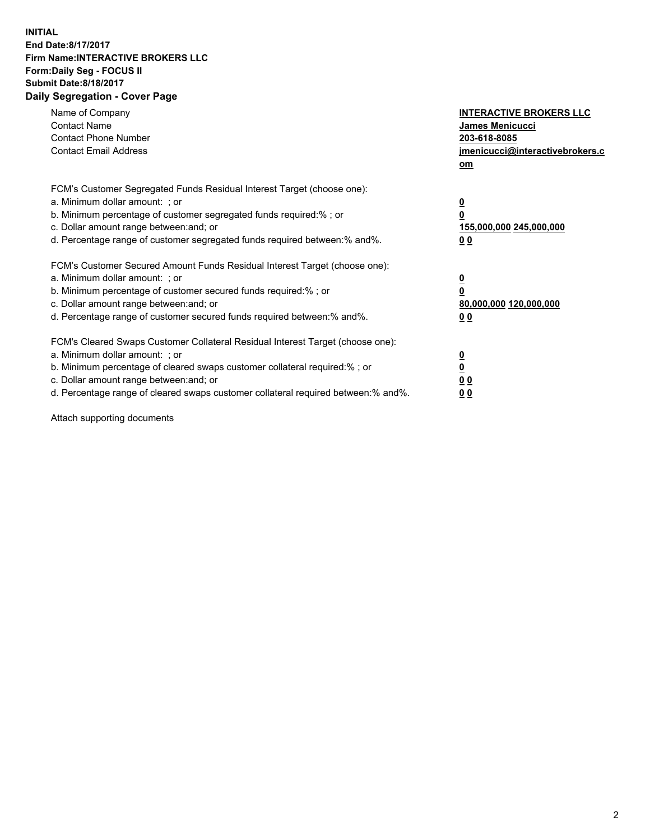## **INITIAL End Date:8/17/2017 Firm Name:INTERACTIVE BROKERS LLC Form:Daily Seg - FOCUS II Submit Date:8/18/2017 Daily Segregation - Cover Page**

| Name of Company<br><b>Contact Name</b><br><b>Contact Phone Number</b><br><b>Contact Email Address</b>                                                                                                                                                                                                                          | <b>INTERACTIVE BROKERS LLC</b><br><b>James Menicucci</b><br>203-618-8085<br>jmenicucci@interactivebrokers.c<br>om |
|--------------------------------------------------------------------------------------------------------------------------------------------------------------------------------------------------------------------------------------------------------------------------------------------------------------------------------|-------------------------------------------------------------------------------------------------------------------|
| FCM's Customer Segregated Funds Residual Interest Target (choose one):<br>a. Minimum dollar amount: ; or<br>b. Minimum percentage of customer segregated funds required:% ; or<br>c. Dollar amount range between: and; or<br>d. Percentage range of customer segregated funds required between: % and %.                       | $\overline{\mathbf{0}}$<br>0<br>155,000,000 245,000,000<br>00                                                     |
| FCM's Customer Secured Amount Funds Residual Interest Target (choose one):<br>a. Minimum dollar amount: ; or<br>b. Minimum percentage of customer secured funds required:%; or<br>c. Dollar amount range between: and; or<br>d. Percentage range of customer secured funds required between: % and %.                          | $\overline{\mathbf{0}}$<br>0<br>80,000,000 120,000,000<br>00                                                      |
| FCM's Cleared Swaps Customer Collateral Residual Interest Target (choose one):<br>a. Minimum dollar amount: ; or<br>b. Minimum percentage of cleared swaps customer collateral required:% ; or<br>c. Dollar amount range between: and; or<br>d. Percentage range of cleared swaps customer collateral required between:% and%. | $\overline{\mathbf{0}}$<br>$\overline{\mathbf{0}}$<br>00<br>0 <sub>0</sub>                                        |

Attach supporting documents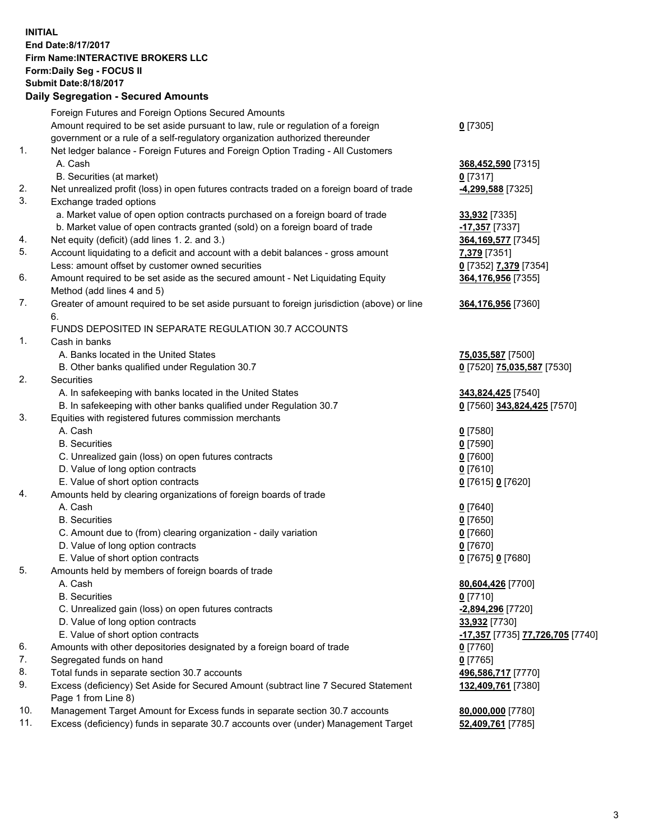## **INITIAL End Date:8/17/2017 Firm Name:INTERACTIVE BROKERS LLC Form:Daily Seg - FOCUS II Submit Date:8/18/2017 Daily Segregation - Secured Amounts**

|                | Daily Segregation - Secured Amounts                                                                        |                                  |
|----------------|------------------------------------------------------------------------------------------------------------|----------------------------------|
|                | Foreign Futures and Foreign Options Secured Amounts                                                        |                                  |
|                | Amount required to be set aside pursuant to law, rule or regulation of a foreign                           | $0$ [7305]                       |
|                | government or a rule of a self-regulatory organization authorized thereunder                               |                                  |
| 1.             | Net ledger balance - Foreign Futures and Foreign Option Trading - All Customers                            |                                  |
|                | A. Cash                                                                                                    | 368,452,590 [7315]               |
|                | B. Securities (at market)                                                                                  | $0$ [7317]                       |
| 2.             | Net unrealized profit (loss) in open futures contracts traded on a foreign board of trade                  | -4,299,588 [7325]                |
| 3.             | Exchange traded options                                                                                    |                                  |
|                | a. Market value of open option contracts purchased on a foreign board of trade                             | 33,932 [7335]                    |
|                | b. Market value of open contracts granted (sold) on a foreign board of trade                               | -17,357 [7337]                   |
| 4.             | Net equity (deficit) (add lines 1.2. and 3.)                                                               | 364, 169, 577 [7345]             |
| 5.             | Account liquidating to a deficit and account with a debit balances - gross amount                          | 7,379 [7351]                     |
|                | Less: amount offset by customer owned securities                                                           | 0 [7352] 7,379 [7354]            |
| 6.             | Amount required to be set aside as the secured amount - Net Liquidating Equity                             | 364,176,956 [7355]               |
|                | Method (add lines 4 and 5)                                                                                 |                                  |
| 7.             | Greater of amount required to be set aside pursuant to foreign jurisdiction (above) or line                | 364,176,956 [7360]               |
|                | 6.                                                                                                         |                                  |
|                | FUNDS DEPOSITED IN SEPARATE REGULATION 30.7 ACCOUNTS                                                       |                                  |
| $\mathbf{1}$ . | Cash in banks                                                                                              |                                  |
|                | A. Banks located in the United States                                                                      | 75,035,587 [7500]                |
|                | B. Other banks qualified under Regulation 30.7                                                             | 0 [7520] 75,035,587 [7530]       |
| 2.             | Securities                                                                                                 |                                  |
|                | A. In safekeeping with banks located in the United States                                                  | 343,824,425 [7540]               |
|                | B. In safekeeping with other banks qualified under Regulation 30.7                                         | 0 [7560] 343,824,425 [7570]      |
| 3.             | Equities with registered futures commission merchants                                                      |                                  |
|                | A. Cash                                                                                                    | $0$ [7580]                       |
|                | <b>B.</b> Securities                                                                                       | $0$ [7590]                       |
|                | C. Unrealized gain (loss) on open futures contracts                                                        | $0$ [7600]                       |
|                | D. Value of long option contracts                                                                          | $0$ [7610]                       |
|                | E. Value of short option contracts                                                                         | 0 [7615] 0 [7620]                |
| 4.             | Amounts held by clearing organizations of foreign boards of trade                                          |                                  |
|                | A. Cash                                                                                                    | $0$ [7640]                       |
|                | <b>B.</b> Securities                                                                                       | $0$ [7650]                       |
|                | C. Amount due to (from) clearing organization - daily variation                                            | $0$ [7660]                       |
|                | D. Value of long option contracts                                                                          | $0$ [7670]                       |
|                | E. Value of short option contracts                                                                         | 0 [7675] 0 [7680]                |
| 5.             | Amounts held by members of foreign boards of trade                                                         |                                  |
|                | A. Cash                                                                                                    | 80,604,426 [7700]                |
|                | <b>B.</b> Securities                                                                                       | $0$ [7710]                       |
|                | C. Unrealized gain (loss) on open futures contracts                                                        | -2,894,296 [7720]                |
|                | D. Value of long option contracts                                                                          | 33,932 [7730]                    |
|                | E. Value of short option contracts                                                                         | -17,357 [7735] 77,726,705 [7740] |
| 6.             | Amounts with other depositories designated by a foreign board of trade                                     | 0 [7760]                         |
| 7.             | Segregated funds on hand                                                                                   | $0$ [7765]                       |
| 8.             | Total funds in separate section 30.7 accounts                                                              | 496,586,717 [7770]               |
| 9.             | Excess (deficiency) Set Aside for Secured Amount (subtract line 7 Secured Statement<br>Page 1 from Line 8) | 132,409,761 [7380]               |
| 10.            | Management Target Amount for Excess funds in separate section 30.7 accounts                                | 80,000,000 [7780]                |
| 11.            | Excess (deficiency) funds in separate 30.7 accounts over (under) Management Target                         | 52,409,761 [7785]                |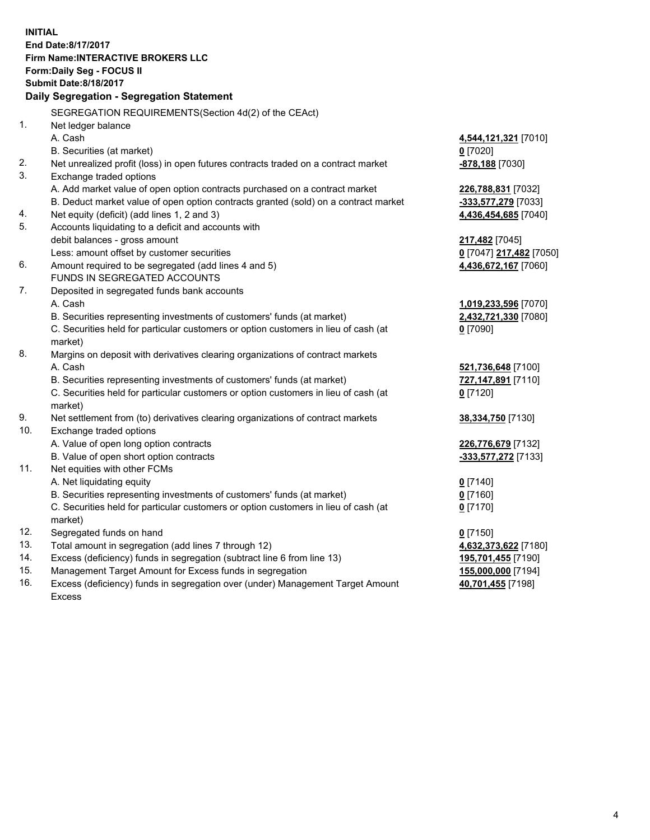**INITIAL End Date:8/17/2017 Firm Name:INTERACTIVE BROKERS LLC Form:Daily Seg - FOCUS II Submit Date:8/18/2017 Daily Segregation - Segregation Statement** SEGREGATION REQUIREMENTS(Section 4d(2) of the CEAct) 1. Net ledger balance A. Cash **4,544,121,321** [7010] B. Securities (at market) **0** [7020] 2. Net unrealized profit (loss) in open futures contracts traded on a contract market **-878,188** [7030] 3. Exchange traded options A. Add market value of open option contracts purchased on a contract market **226,788,831** [7032] B. Deduct market value of open option contracts granted (sold) on a contract market **-333,577,279** [7033] 4. Net equity (deficit) (add lines 1, 2 and 3) **4,436,454,685** [7040] 5. Accounts liquidating to a deficit and accounts with debit balances - gross amount **217,482** [7045] Less: amount offset by customer securities **0** [7047] **217,482** [7050] 6. Amount required to be segregated (add lines 4 and 5) **4,436,672,167** [7060] FUNDS IN SEGREGATED ACCOUNTS 7. Deposited in segregated funds bank accounts A. Cash **1,019,233,596** [7070] B. Securities representing investments of customers' funds (at market) **2,432,721,330** [7080] C. Securities held for particular customers or option customers in lieu of cash (at market) **0** [7090] 8. Margins on deposit with derivatives clearing organizations of contract markets A. Cash **521,736,648** [7100] B. Securities representing investments of customers' funds (at market) **727,147,891** [7110] C. Securities held for particular customers or option customers in lieu of cash (at market) **0** [7120] 9. Net settlement from (to) derivatives clearing organizations of contract markets **38,334,750** [7130] 10. Exchange traded options A. Value of open long option contracts **226,776,679** [7132] B. Value of open short option contracts **-333,577,272** [7133] 11. Net equities with other FCMs A. Net liquidating equity **0** [7140] B. Securities representing investments of customers' funds (at market) **0** [7160] C. Securities held for particular customers or option customers in lieu of cash (at market) **0** [7170] 12. Segregated funds on hand **0** [7150] 13. Total amount in segregation (add lines 7 through 12) **4,632,373,622** [7180] 14. Excess (deficiency) funds in segregation (subtract line 6 from line 13) **195,701,455** [7190] 15. Management Target Amount for Excess funds in segregation **155,000,000** [7194] 16. Excess (deficiency) funds in segregation over (under) Management Target Amount **40,701,455** [7198]

Excess